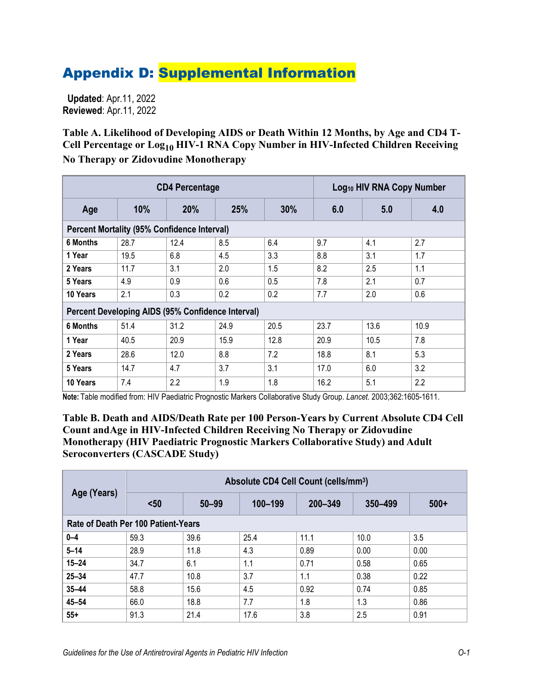## Appendix D: Supplemental Information

 **Updated**: Apr.11, 2022 **Reviewed**: Apr.11, 2022

**Table A. Likelihood of Developing AIDS or Death Within 12 Months, by Age and CD4 T-Cell Percentage or Log10 HIV-1 RNA Copy Number in HIV-Infected Children Receiving No Therapy or Zidovudine Monotherapy**

| <b>CD4 Percentage</b>                                    |      |      |      | Log <sub>10</sub> HIV RNA Copy Number |      |      |      |
|----------------------------------------------------------|------|------|------|---------------------------------------|------|------|------|
| Age                                                      | 10%  | 20%  | 25%  | 30%                                   | 6.0  | 5.0  | 4.0  |
| <b>Percent Mortality (95% Confidence Interval)</b>       |      |      |      |                                       |      |      |      |
| 6 Months                                                 | 28.7 | 12.4 | 8.5  | 6.4                                   | 9.7  | 4.1  | 2.7  |
| 1 Year                                                   | 19.5 | 6.8  | 4.5  | 3.3                                   | 8.8  | 3.1  | 1.7  |
| 2 Years                                                  | 11.7 | 3.1  | 2.0  | 1.5                                   | 8.2  | 2.5  | 1.1  |
| 5 Years                                                  | 4.9  | 0.9  | 0.6  | 0.5                                   | 7.8  | 2.1  | 0.7  |
| 10 Years                                                 | 2.1  | 0.3  | 0.2  | 0.2                                   | 7.7  | 2.0  | 0.6  |
| <b>Percent Developing AIDS (95% Confidence Interval)</b> |      |      |      |                                       |      |      |      |
| <b>6 Months</b>                                          | 51.4 | 31.2 | 24.9 | 20.5                                  | 23.7 | 13.6 | 10.9 |
| 1 Year                                                   | 40.5 | 20.9 | 15.9 | 12.8                                  | 20.9 | 10.5 | 7.8  |
| 2 Years                                                  | 28.6 | 12.0 | 8.8  | 7.2                                   | 18.8 | 8.1  | 5.3  |
| 5 Years                                                  | 14.7 | 4.7  | 3.7  | 3.1                                   | 17.0 | 6.0  | 3.2  |
| 10 Years                                                 | 7.4  | 2.2  | 1.9  | 1.8                                   | 16.2 | 5.1  | 2.2  |

**Note:** Table modified from: HIV Paediatric Prognostic Markers Collaborative Study Group. *Lancet*. 2003;362:1605-1611.

**Table B. Death and AIDS/Death Rate per 100 Person-Years by Current Absolute CD4 Cell Count andAge in HIV-Infected Children Receiving No Therapy or Zidovudine Monotherapy (HIV Paediatric Prognostic Markers Collaborative Study) and Adult Seroconverters (CASCADE Study)**

| Age (Years)                         | Absolute CD4 Cell Count (cells/mm <sup>3</sup> ) |           |         |         |         |        |  |
|-------------------------------------|--------------------------------------------------|-----------|---------|---------|---------|--------|--|
|                                     | $50$                                             | $50 - 99$ | 100-199 | 200-349 | 350-499 | $500+$ |  |
| Rate of Death Per 100 Patient-Years |                                                  |           |         |         |         |        |  |
| $0 - 4$                             | 59.3                                             | 39.6      | 25.4    | 11.1    | 10.0    | 3.5    |  |
| $5 - 14$                            | 28.9                                             | 11.8      | 4.3     | 0.89    | 0.00    | 0.00   |  |
| $15 - 24$                           | 34.7                                             | 6.1       | 1.1     | 0.71    | 0.58    | 0.65   |  |
| $25 - 34$                           | 47.7                                             | 10.8      | 3.7     | 1.1     | 0.38    | 0.22   |  |
| $35 - 44$                           | 58.8                                             | 15.6      | 4.5     | 0.92    | 0.74    | 0.85   |  |
| $45 - 54$                           | 66.0                                             | 18.8      | 7.7     | 1.8     | 1.3     | 0.86   |  |
| $55+$                               | 91.3                                             | 21.4      | 17.6    | 3.8     | 2.5     | 0.91   |  |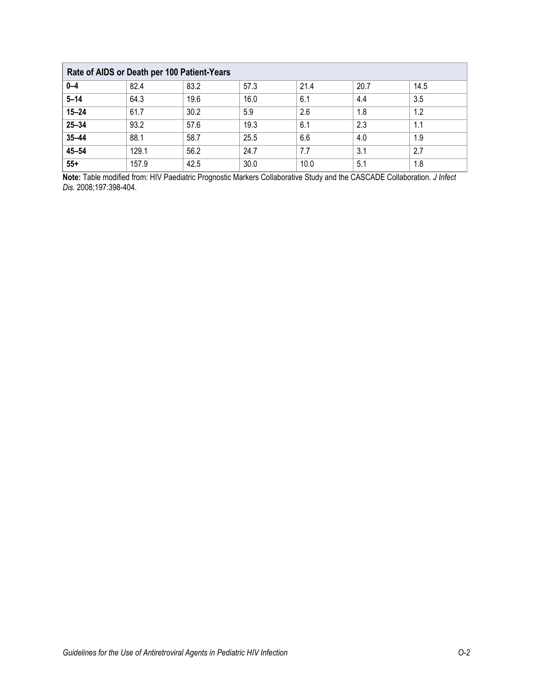| Rate of AIDS or Death per 100 Patient-Years |       |      |      |      |      |      |  |
|---------------------------------------------|-------|------|------|------|------|------|--|
| $0 - 4$                                     | 82.4  | 83.2 | 57.3 | 21.4 | 20.7 | 14.5 |  |
| $5 - 14$                                    | 64.3  | 19.6 | 16.0 | 6.1  | 4.4  | 3.5  |  |
| $15 - 24$                                   | 61.7  | 30.2 | 5.9  | 2.6  | 1.8  | 1.2  |  |
| $25 - 34$                                   | 93.2  | 57.6 | 19.3 | 6.1  | 2.3  | 1.1  |  |
| $35 - 44$                                   | 88.1  | 58.7 | 25.5 | 6.6  | 4.0  | 1.9  |  |
| $45 - 54$                                   | 129.1 | 56.2 | 24.7 | 7.7  | 3.1  | 2.7  |  |
| $55+$                                       | 157.9 | 42.5 | 30.0 | 10.0 | 5.1  | 1.8  |  |

**Note:** Table modified from: HIV Paediatric Prognostic Markers Collaborative Study and the CASCADE Collaboration. *J Infect Dis.* 2008;197:398-404.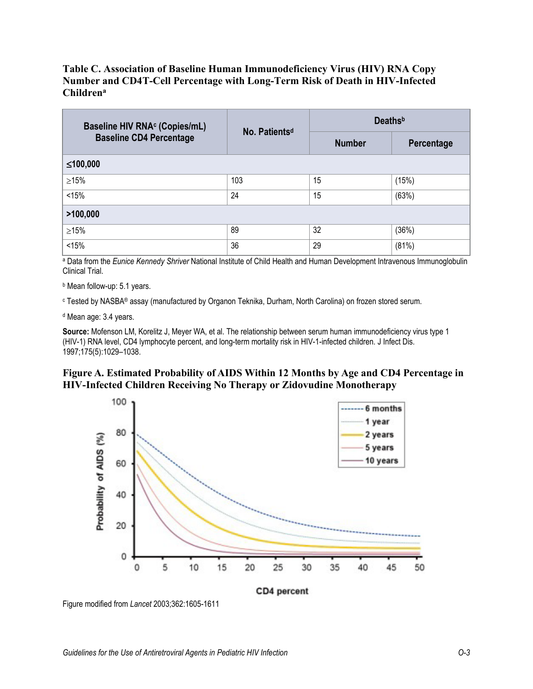## **Table C. Association of Baseline Human Immunodeficiency Virus (HIV) RNA Copy Number and CD4T-Cell Percentage with Long-Term Risk of Death in HIV-Infected Childrena**

| Baseline HIV RNA <sup>c</sup> (Copies/mL) | No. Patients <sup>d</sup> | <b>Deaths</b> <sup>b</sup> |            |  |  |  |  |
|-------------------------------------------|---------------------------|----------------------------|------------|--|--|--|--|
| <b>Baseline CD4 Percentage</b>            |                           | <b>Number</b>              | Percentage |  |  |  |  |
| ≤100,000                                  |                           |                            |            |  |  |  |  |
| $\geq$ 15%                                | 103                       | 15                         | (15%)      |  |  |  |  |
| < 15%                                     | 24                        | 15                         | (63%)      |  |  |  |  |
| >100,000                                  |                           |                            |            |  |  |  |  |
| $\geq$ 15%                                | 89                        | 32                         | (36%)      |  |  |  |  |
| < 15%                                     | 36                        | 29                         | (81%)      |  |  |  |  |

<sup>a</sup> Data from the *Eunice Kennedy Shriver* National Institute of Child Health and Human Development Intravenous Immunoglobulin Clinical Trial.

**b** Mean follow-up: 5.1 years.

<sup>c</sup> Tested by NASBA® assay (manufactured by Organon Teknika, Durham, North Carolina) on frozen stored serum.

<sup>d</sup> Mean age: 3.4 years.

**Source:** Mofenson LM, Korelitz J, Meyer WA, et al. The relationship between serum human immunodeficiency virus type 1 (HIV-1) RNA level, CD4 lymphocyte percent, and long-term mortality risk in HIV-1-infected children. J Infect Dis. 1997;175(5):1029–1038.

## **Figure A. Estimated Probability of AIDS Within 12 Months by Age and CD4 Percentage in HIV-Infected Children Receiving No Therapy or Zidovudine Monotherapy**



Figure modified from *Lancet* 2003;362:1605-1611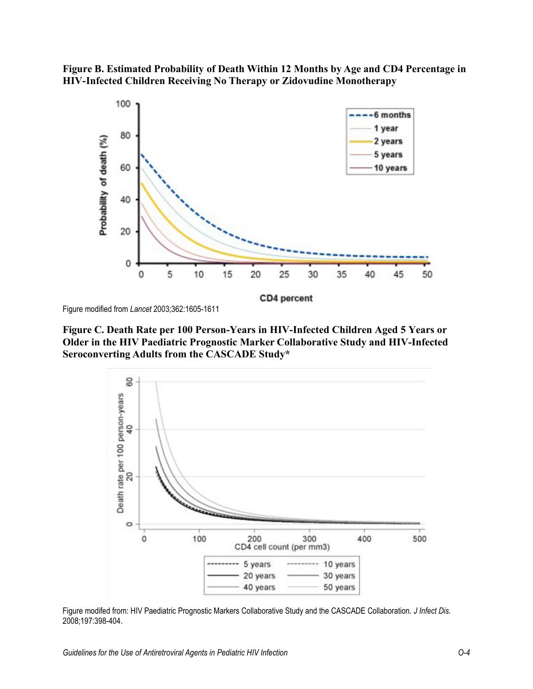



Figure modified from *Lancet* 2003;362:1605-1611

**Figure C. Death Rate per 100 Person-Years in HIV-Infected Children Aged 5 Years or Older in the HIV Paediatric Prognostic Marker Collaborative Study and HIV-Infected Seroconverting Adults from the CASCADE Study\***



Figure modifed from: HIV Paediatric Prognostic Markers Collaborative Study and the CASCADE Collaboration*. J Infect Dis.* 2008;197:398-404.